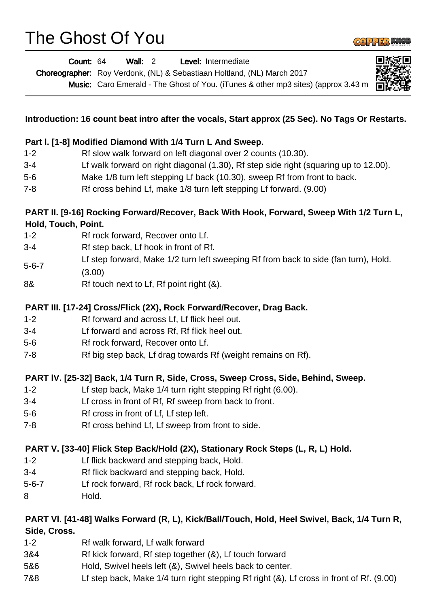## The Ghost Of You



|              | Wall: 2<br>Count: 64<br>Level: Intermediate<br>Choreographer: Roy Verdonk, (NL) & Sebastiaan Holtland, (NL) March 2017<br>Music: Caro Emerald - The Ghost of You. (iTunes & other mp3 sites) (approx 3.43 m |
|--------------|-------------------------------------------------------------------------------------------------------------------------------------------------------------------------------------------------------------|
|              | Introduction: 16 count beat intro after the vocals, Start approx (25 Sec). No Tags Or Restarts.                                                                                                             |
|              | Part I. [1-8] Modified Diamond With 1/4 Turn L And Sweep.                                                                                                                                                   |
| $1 - 2$      | Rf slow walk forward on left diagonal over 2 counts (10.30).                                                                                                                                                |
| $3 - 4$      | Lf walk forward on right diagonal (1.30), Rf step side right (squaring up to 12.00).                                                                                                                        |
| $5-6$        | Make 1/8 turn left stepping Lf back (10.30), sweep Rf from front to back.                                                                                                                                   |
| $7 - 8$      | Rf cross behind Lf, make 1/8 turn left stepping Lf forward. (9.00)                                                                                                                                          |
|              | PART II. [9-16] Rocking Forward/Recover, Back With Hook, Forward, Sweep With 1/2 Turn L,                                                                                                                    |
|              | Hold, Touch, Point.                                                                                                                                                                                         |
| $1 - 2$      | Rf rock forward, Recover onto Lf.                                                                                                                                                                           |
| $3 - 4$      | Rf step back, Lf hook in front of Rf.                                                                                                                                                                       |
| $5 - 6 - 7$  | Lf step forward, Make 1/2 turn left sweeping Rf from back to side (fan turn), Hold.                                                                                                                         |
|              | (3.00)                                                                                                                                                                                                      |
| 8&           | Rf touch next to Lf, Rf point right (&).                                                                                                                                                                    |
|              | PART III. [17-24] Cross/Flick (2X), Rock Forward/Recover, Drag Back.                                                                                                                                        |
| $1 - 2$      | Rf forward and across Lf, Lf flick heel out.                                                                                                                                                                |
| $3 - 4$      | Lf forward and across Rf, Rf flick heel out.                                                                                                                                                                |
| $5-6$        | Rf rock forward, Recover onto Lf.                                                                                                                                                                           |
| $7 - 8$      | Rf big step back, Lf drag towards Rf (weight remains on Rf).                                                                                                                                                |
|              | PART IV. [25-32] Back, 1/4 Turn R, Side, Cross, Sweep Cross, Side, Behind, Sweep.                                                                                                                           |
| $1 - 2$      | Lf step back, Make 1/4 turn right stepping Rf right (6.00).                                                                                                                                                 |
| $3 - 4$      | Lf cross in front of Rf, Rf sweep from back to front.                                                                                                                                                       |
| $5-6$        | Rf cross in front of Lf, Lf step left.                                                                                                                                                                      |
| $7 - 8$      | Rf cross behind Lf, Lf sweep from front to side.                                                                                                                                                            |
|              | PART V. [33-40] Flick Step Back/Hold (2X), Stationary Rock Steps (L, R, L) Hold.                                                                                                                            |
| $1 - 2$      | Lf flick backward and stepping back, Hold.                                                                                                                                                                  |
| $3 - 4$      | Rf flick backward and stepping back, Hold.                                                                                                                                                                  |
| $5 - 6 - 7$  | Lf rock forward, Rf rock back, Lf rock forward.                                                                                                                                                             |
| 8            | Hold.                                                                                                                                                                                                       |
|              | PART VI. [41-48] Walks Forward (R, L), Kick/Ball/Touch, Hold, Heel Swivel, Back, 1/4 Turn R,                                                                                                                |
| Side, Cross. |                                                                                                                                                                                                             |
| $1 - 2$      | Rf walk forward, Lf walk forward                                                                                                                                                                            |
| 3&4          | Rf kick forward, Rf step together (&), Lf touch forward                                                                                                                                                     |

- 5&6 Hold, Swivel heels left (&), Swivel heels back to center.
- 7&8 Lf step back, Make 1/4 turn right stepping Rf right (&), Lf cross in front of Rf. (9.00)